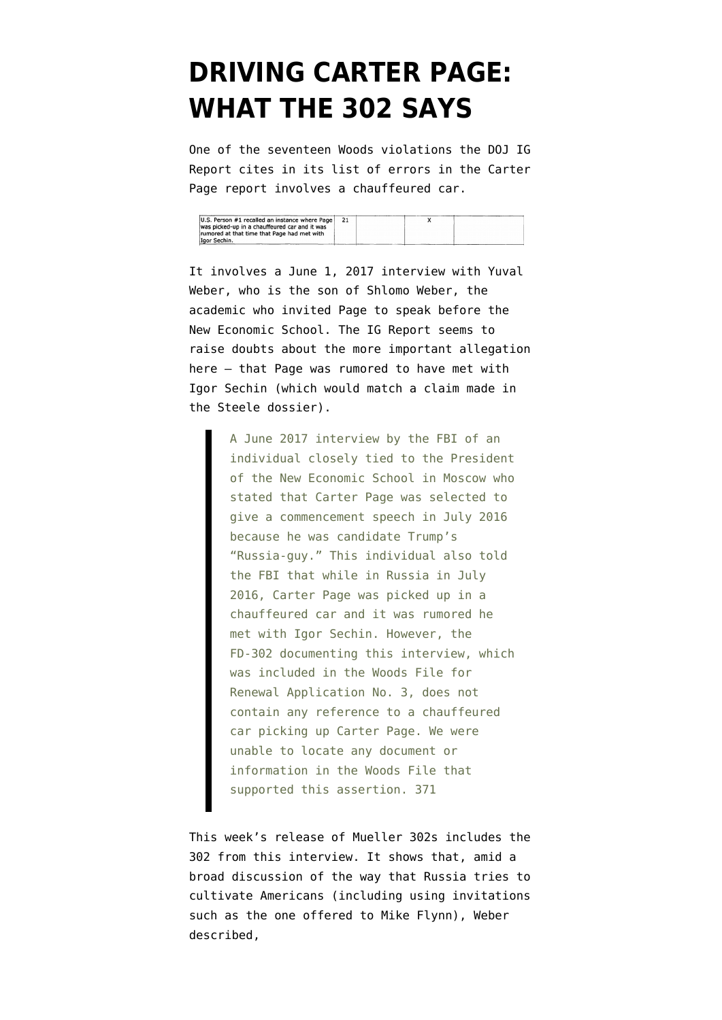## **[DRIVING CARTER PAGE:](https://www.emptywheel.net/2020/03/05/driving-carter-page-what-the-302-says/) [WHAT THE 302 SAYS](https://www.emptywheel.net/2020/03/05/driving-carter-page-what-the-302-says/)**

One of the seventeen Woods violations the [DOJ IG](https://www.justice.gov/storage/120919-examination.pdf) [Report](https://www.justice.gov/storage/120919-examination.pdf) cites in its list of errors in the Carter Page report involves a chauffeured car.

| U.S. Person #1 recalled an instance where Page |  |  |
|------------------------------------------------|--|--|
| was picked-up in a chauffeured car and it was  |  |  |
| rumored at that time that Page had met with    |  |  |
| Igor Sechin.                                   |  |  |

It involves a June 1, 2017 interview with Yuval Weber, who is the son of Shlomo Weber, the academic who invited Page to speak before the New Economic School. The IG Report seems to raise doubts about the more important allegation here — that Page was rumored to have met with Igor Sechin (which would match a claim made in the Steele dossier).

> A June 2017 interview by the FBI of an individual closely tied to the President of the New Economic School in Moscow who stated that Carter Page was selected to give a commencement speech in July 2016 because he was candidate Trump's "Russia-guy." This individual also told the FBI that while in Russia in July 2016, Carter Page was picked up in a chauffeured car and it was rumored he met with Igor Sechin. However, the FD-302 documenting this interview, which was included in the Woods File for Renewal Application No. 3, does not contain any reference to a chauffeured car picking up Carter Page. We were unable to locate any document or information in the Woods File that supported this assertion. 371

This week's release of Mueller 302s includes [the](https://www.documentcloud.org/documents/6792384-6th-Mueller-Document-FOIA-Response.html#document/p545/a554741) [302 from this interview.](https://www.documentcloud.org/documents/6792384-6th-Mueller-Document-FOIA-Response.html#document/p545/a554741) It shows that, amid a broad discussion of the way that Russia tries to cultivate Americans (including using invitations such as the one offered to Mike Flynn), Weber described,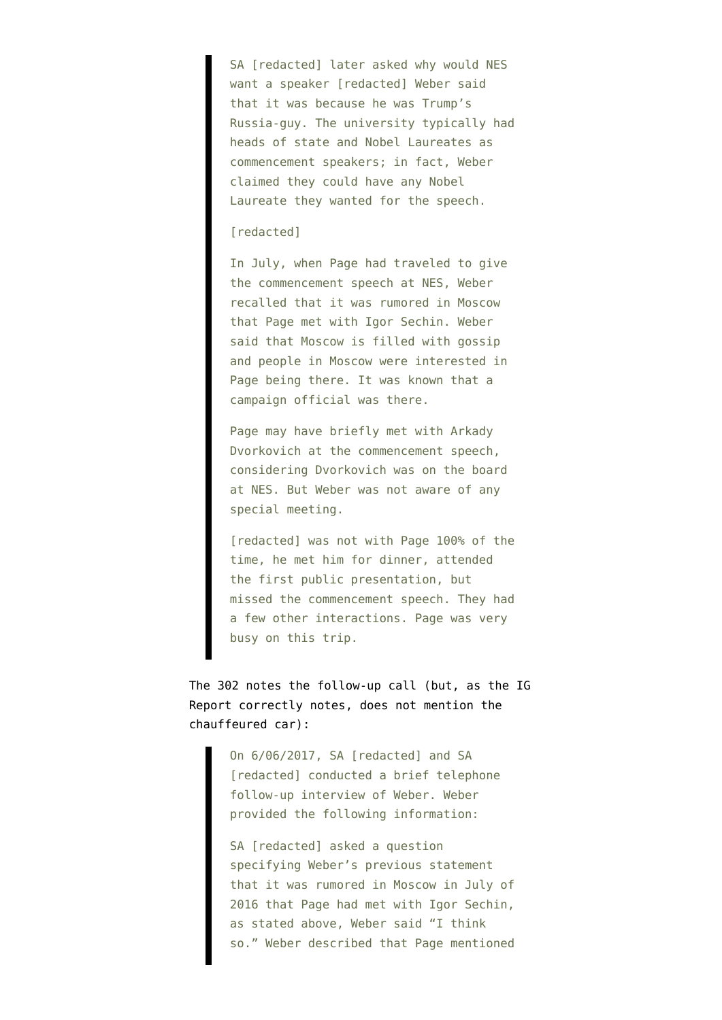SA [redacted] later asked why would NES want a speaker [redacted] Weber said that it was because he was Trump's Russia-guy. The university typically had heads of state and Nobel Laureates as commencement speakers; in fact, Weber claimed they could have any Nobel Laureate they wanted for the speech.

## [redacted]

In July, when Page had traveled to give the commencement speech at NES, Weber recalled that it was rumored in Moscow that Page met with Igor Sechin. Weber said that Moscow is filled with gossip and people in Moscow were interested in Page being there. It was known that a campaign official was there.

Page may have briefly met with Arkady Dvorkovich at the commencement speech, considering Dvorkovich was on the board at NES. But Weber was not aware of any special meeting.

[redacted] was not with Page 100% of the time, he met him for dinner, attended the first public presentation, but missed the commencement speech. They had a few other interactions. Page was very busy on this trip.

The 302 notes the follow-up call (but, as the IG Report correctly notes, does not mention the chauffeured car):

> On 6/06/2017, SA [redacted] and SA [redacted] conducted a brief telephone follow-up interview of Weber. Weber provided the following information:

SA [redacted] asked a question specifying Weber's previous statement that it was rumored in Moscow in July of 2016 that Page had met with Igor Sechin, as stated above, Weber said "I think so." Weber described that Page mentioned